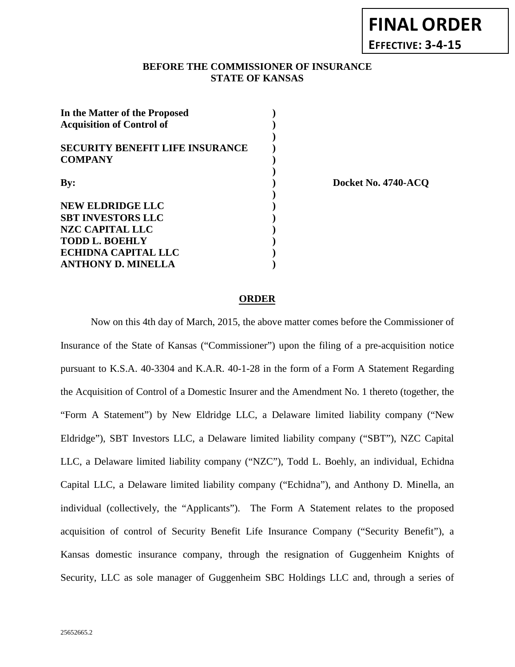## **BEFORE THE COMMISSIONER OF INSURANCE EFFECTIVE: 3-4-15**

| In the Matter of the Proposed<br><b>Acquisition of Control of</b> |  |
|-------------------------------------------------------------------|--|
| <b>SECURITY BENEFIT LIFE INSURANCE</b><br><b>COMPANY</b>          |  |
| By:                                                               |  |
| <b>NEW ELDRIDGE LLC</b><br><b>SBT INVESTORS LLC</b>               |  |
| NZC CAPITAL LLC<br><b>TODD L. BOEHLY</b>                          |  |
| ECHIDNA CAPITAL LLC<br><b>ANTHONY D. MINELLA</b>                  |  |

**By: ) Docket No. 4740-ACQ**

**FINAL ORDER**

### **ORDER**

**STATE OF KANSAS**

Now on this 4th day of March, 2015, the above matter comes before the Commissioner of Insurance of the State of Kansas ("Commissioner") upon the filing of a pre-acquisition notice pursuant to K.S.A. 40-3304 and K.A.R. 40-1-28 in the form of a Form A Statement Regarding the Acquisition of Control of a Domestic Insurer and the Amendment No. 1 thereto (together, the "Form A Statement") by New Eldridge LLC, a Delaware limited liability company ("New Eldridge"), SBT Investors LLC, a Delaware limited liability company ("SBT"), NZC Capital LLC, a Delaware limited liability company ("NZC"), Todd L. Boehly, an individual, Echidna Capital LLC, a Delaware limited liability company ("Echidna"), and Anthony D. Minella, an individual (collectively, the "Applicants"). The Form A Statement relates to the proposed acquisition of control of Security Benefit Life Insurance Company ("Security Benefit"), a Kansas domestic insurance company, through the resignation of Guggenheim Knights of Security, LLC as sole manager of Guggenheim SBC Holdings LLC and, through a series of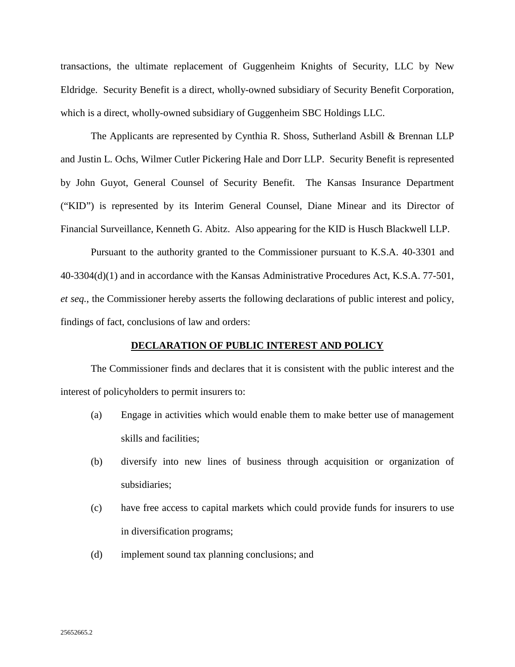transactions, the ultimate replacement of Guggenheim Knights of Security, LLC by New Eldridge. Security Benefit is a direct, wholly-owned subsidiary of Security Benefit Corporation, which is a direct, wholly-owned subsidiary of Guggenheim SBC Holdings LLC.

The Applicants are represented by Cynthia R. Shoss, Sutherland Asbill & Brennan LLP and Justin L. Ochs, Wilmer Cutler Pickering Hale and Dorr LLP. Security Benefit is represented by John Guyot, General Counsel of Security Benefit. The Kansas Insurance Department ("KID") is represented by its Interim General Counsel, Diane Minear and its Director of Financial Surveillance, Kenneth G. Abitz. Also appearing for the KID is Husch Blackwell LLP.

Pursuant to the authority granted to the Commissioner pursuant to K.S.A. 40-3301 and 40-3304(d)(1) and in accordance with the Kansas Administrative Procedures Act, K.S.A. 77-501, *et seq.*, the Commissioner hereby asserts the following declarations of public interest and policy, findings of fact, conclusions of law and orders:

#### **DECLARATION OF PUBLIC INTEREST AND POLICY**

The Commissioner finds and declares that it is consistent with the public interest and the interest of policyholders to permit insurers to:

- (a) Engage in activities which would enable them to make better use of management skills and facilities;
- (b) diversify into new lines of business through acquisition or organization of subsidiaries;
- (c) have free access to capital markets which could provide funds for insurers to use in diversification programs;
- (d) implement sound tax planning conclusions; and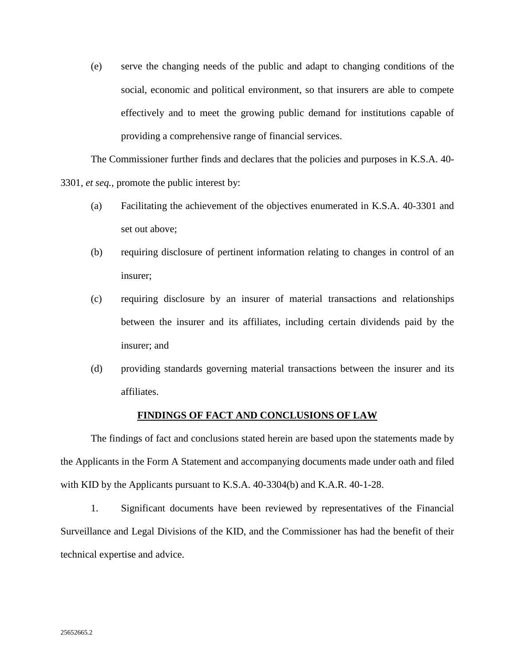(e) serve the changing needs of the public and adapt to changing conditions of the social, economic and political environment, so that insurers are able to compete effectively and to meet the growing public demand for institutions capable of providing a comprehensive range of financial services.

The Commissioner further finds and declares that the policies and purposes in K.S.A. 40- 3301, *et seq.*, promote the public interest by:

- (a) Facilitating the achievement of the objectives enumerated in K.S.A. 40-3301 and set out above;
- (b) requiring disclosure of pertinent information relating to changes in control of an insurer;
- (c) requiring disclosure by an insurer of material transactions and relationships between the insurer and its affiliates, including certain dividends paid by the insurer; and
- (d) providing standards governing material transactions between the insurer and its affiliates.

#### **FINDINGS OF FACT AND CONCLUSIONS OF LAW**

The findings of fact and conclusions stated herein are based upon the statements made by the Applicants in the Form A Statement and accompanying documents made under oath and filed with KID by the Applicants pursuant to K.S.A. 40-3304(b) and K.A.R. 40-1-28.

1. Significant documents have been reviewed by representatives of the Financial Surveillance and Legal Divisions of the KID, and the Commissioner has had the benefit of their technical expertise and advice.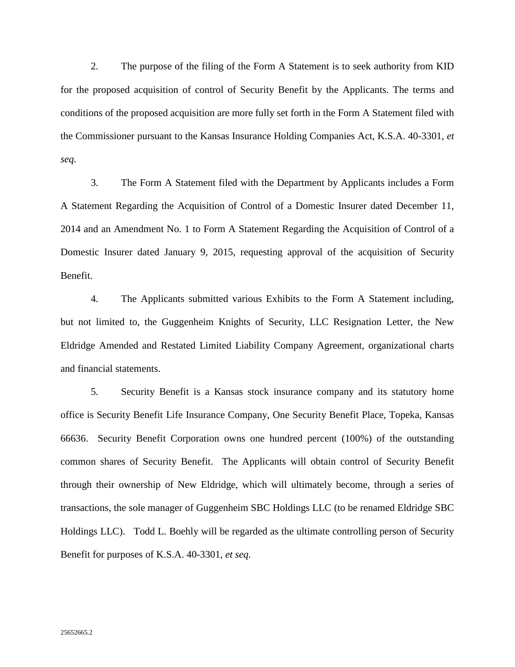2. The purpose of the filing of the Form A Statement is to seek authority from KID for the proposed acquisition of control of Security Benefit by the Applicants. The terms and conditions of the proposed acquisition are more fully set forth in the Form A Statement filed with the Commissioner pursuant to the Kansas Insurance Holding Companies Act, K.S.A. 40-3301, *et seq.*

3. The Form A Statement filed with the Department by Applicants includes a Form A Statement Regarding the Acquisition of Control of a Domestic Insurer dated December 11, 2014 and an Amendment No. 1 to Form A Statement Regarding the Acquisition of Control of a Domestic Insurer dated January 9, 2015, requesting approval of the acquisition of Security Benefit.

4. The Applicants submitted various Exhibits to the Form A Statement including, but not limited to, the Guggenheim Knights of Security, LLC Resignation Letter, the New Eldridge Amended and Restated Limited Liability Company Agreement, organizational charts and financial statements.

5. Security Benefit is a Kansas stock insurance company and its statutory home office is Security Benefit Life Insurance Company, One Security Benefit Place, Topeka, Kansas 66636. Security Benefit Corporation owns one hundred percent (100%) of the outstanding common shares of Security Benefit. The Applicants will obtain control of Security Benefit through their ownership of New Eldridge, which will ultimately become, through a series of transactions, the sole manager of Guggenheim SBC Holdings LLC (to be renamed Eldridge SBC Holdings LLC). Todd L. Boehly will be regarded as the ultimate controlling person of Security Benefit for purposes of K.S.A. 40-3301, *et seq.*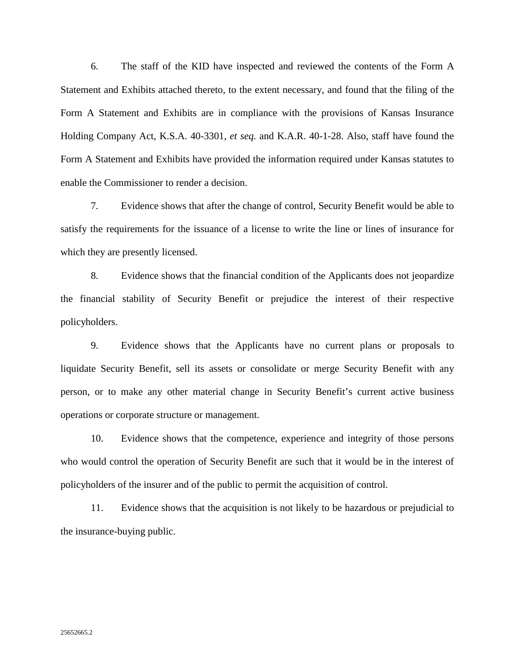6. The staff of the KID have inspected and reviewed the contents of the Form A Statement and Exhibits attached thereto, to the extent necessary, and found that the filing of the Form A Statement and Exhibits are in compliance with the provisions of Kansas Insurance Holding Company Act, K.S.A. 40-3301, *et seq.* and K.A.R. 40-1-28. Also, staff have found the Form A Statement and Exhibits have provided the information required under Kansas statutes to enable the Commissioner to render a decision.

7. Evidence shows that after the change of control, Security Benefit would be able to satisfy the requirements for the issuance of a license to write the line or lines of insurance for which they are presently licensed.

8. Evidence shows that the financial condition of the Applicants does not jeopardize the financial stability of Security Benefit or prejudice the interest of their respective policyholders.

9. Evidence shows that the Applicants have no current plans or proposals to liquidate Security Benefit, sell its assets or consolidate or merge Security Benefit with any person, or to make any other material change in Security Benefit's current active business operations or corporate structure or management.

10. Evidence shows that the competence, experience and integrity of those persons who would control the operation of Security Benefit are such that it would be in the interest of policyholders of the insurer and of the public to permit the acquisition of control.

11. Evidence shows that the acquisition is not likely to be hazardous or prejudicial to the insurance-buying public.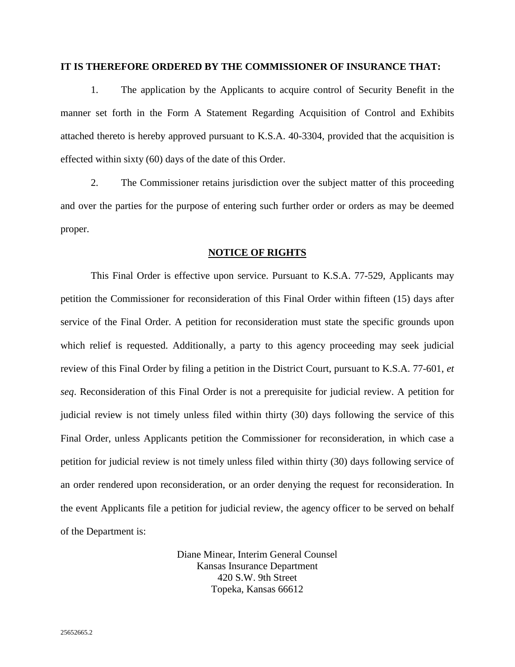## **IT IS THEREFORE ORDERED BY THE COMMISSIONER OF INSURANCE THAT:**

1. The application by the Applicants to acquire control of Security Benefit in the manner set forth in the Form A Statement Regarding Acquisition of Control and Exhibits attached thereto is hereby approved pursuant to K.S.A. 40-3304, provided that the acquisition is effected within sixty (60) days of the date of this Order.

2. The Commissioner retains jurisdiction over the subject matter of this proceeding and over the parties for the purpose of entering such further order or orders as may be deemed proper.

#### **NOTICE OF RIGHTS**

This Final Order is effective upon service. Pursuant to K.S.A. 77-529, Applicants may petition the Commissioner for reconsideration of this Final Order within fifteen (15) days after service of the Final Order. A petition for reconsideration must state the specific grounds upon which relief is requested. Additionally, a party to this agency proceeding may seek judicial review of this Final Order by filing a petition in the District Court, pursuant to K.S.A. 77-601, *et seq*. Reconsideration of this Final Order is not a prerequisite for judicial review. A petition for judicial review is not timely unless filed within thirty (30) days following the service of this Final Order, unless Applicants petition the Commissioner for reconsideration, in which case a petition for judicial review is not timely unless filed within thirty (30) days following service of an order rendered upon reconsideration, or an order denying the request for reconsideration. In the event Applicants file a petition for judicial review, the agency officer to be served on behalf of the Department is:

> Diane Minear, Interim General Counsel Kansas Insurance Department 420 S.W. 9th Street Topeka, Kansas 66612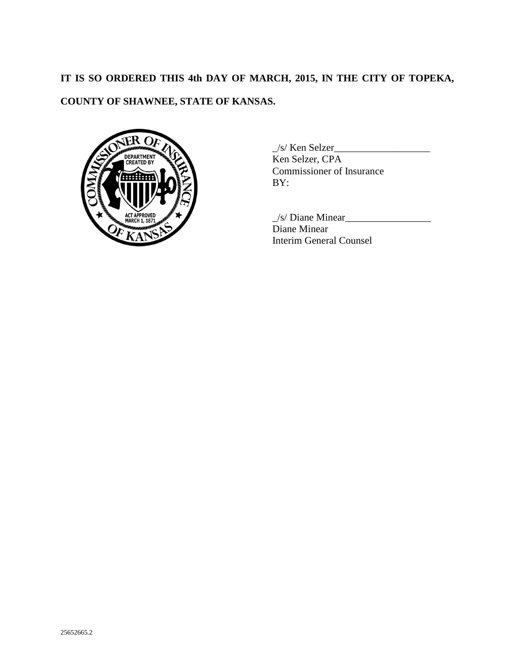# **IT IS SO ORDERED THIS 4th DAY OF MARCH, 2015, IN THE CITY OF TOPEKA, COUNTY OF SHAWNEE, STATE OF KANSAS.**



 $\angle$ s/ Ken Selzer $\angle$ Ken Selzer, CPA Commissioner of Insurance  $BY:$ 

 $\angle$ s/ Diane Minear $\angle$ Diane Minear Interim General Counsel